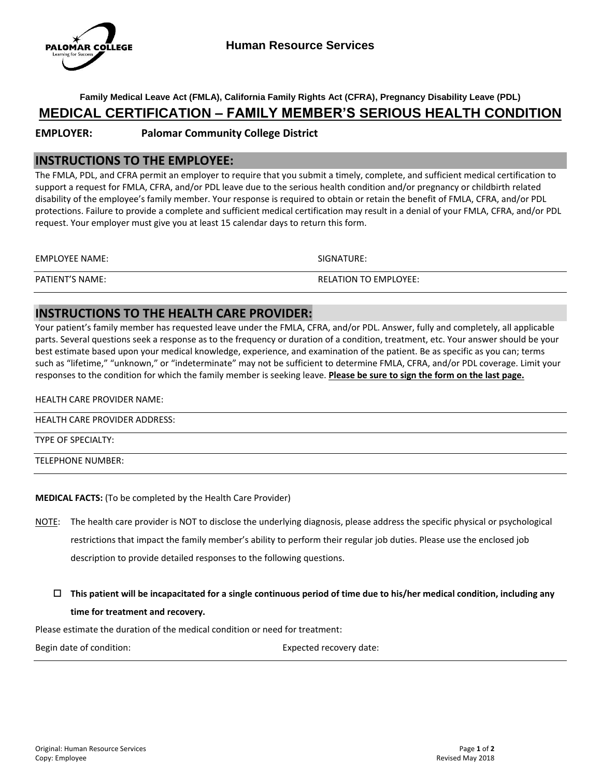

**Family Medical Leave Act (FMLA), California Family Rights Act (CFRA), Pregnancy Disability Leave (PDL)**

# **MEDICAL CERTIFICATION – FAMILY MEMBER'S SERIOUS HEALTH CONDITION**

## **EMPLOYER: Palomar Community College District**

## **INSTRUCTIONS TO THE EMPLOYEE:**

The FMLA, PDL, and CFRA permit an employer to require that you submit a timely, complete, and sufficient medical certification to support a request for FMLA, CFRA, and/or PDL leave due to the serious health condition and/or pregnancy or childbirth related disability of the employee's family member. Your response is required to obtain or retain the benefit of FMLA, CFRA, and/or PDL protections. Failure to provide a complete and sufficient medical certification may result in a denial of your FMLA, CFRA, and/or PDL request. Your employer must give you at least 15 calendar days to return this form.

| EMPLOYEE NAME:         | SIGNATURE:                   |
|------------------------|------------------------------|
| <b>PATIENT'S NAME:</b> | <b>RELATION TO EMPLOYEE:</b> |

## **INSTRUCTIONS TO THE HEALTH CARE PROVIDER:**

Your patient's family member has requested leave under the FMLA, CFRA, and/or PDL. Answer, fully and completely, all applicable parts. Several questions seek a response as to the frequency or duration of a condition, treatment, etc. Your answer should be your best estimate based upon your medical knowledge, experience, and examination of the patient. Be as specific as you can; terms such as "lifetime," "unknown," or "indeterminate" may not be sufficient to determine FMLA, CFRA, and/or PDL coverage. Limit your responses to the condition for which the family member is seeking leave. **Please be sure to sign the form on the last page.**

#### HEALTH CARE PROVIDER NAME:

HEALTH CARE PROVIDER ADDRESS:

TYPE OF SPECIALTY:

TELEPHONE NUMBER:

### **MEDICAL FACTS:** (To be completed by the Health Care Provider)

- NOTE: The health care provider is NOT to disclose the underlying diagnosis, please address the specific physical or psychological restrictions that impact the family member's ability to perform their regular job duties. Please use the enclosed job description to provide detailed responses to the following questions.
	- **This patient will be incapacitated for a single continuous period of time due to his/her medical condition, including any time for treatment and recovery.**

Please estimate the duration of the medical condition or need for treatment:

Begin date of condition: Expected recovery date: